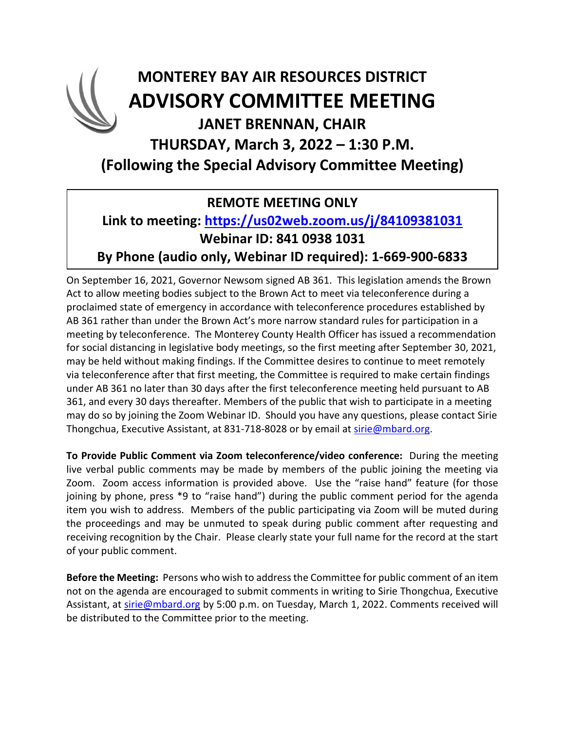## **MONTEREY BAY AIR RESOURCES DISTRICT ADVISORY COMMITTEE MEETING JANET BRENNAN, CHAIR THURSDAY, March 3, 2022 – 1:30 P.M. (Following the Special Advisory Committee Meeting)**

### **REMOTE MEETING ONLY**

#### **Link to meeting: <https://us02web.zoom.us/j/84109381031> Webinar ID: 841 0938 1031 By Phone (audio only, Webinar ID required): 1-669-900-6833**

On September 16, 2021, Governor Newsom signed AB 361. This legislation amends the Brown Act to allow meeting bodies subject to the Brown Act to meet via teleconference during a proclaimed state of emergency in accordance with teleconference procedures established by AB 361 rather than under the Brown Act's more narrow standard rules for participation in a meeting by teleconference. The Monterey County Health Officer has issued a recommendation for social distancing in legislative body meetings, so the first meeting after September 30, 2021, may be held without making findings. If the Committee desires to continue to meet remotely via teleconference after that first meeting, the Committee is required to make certain findings under AB 361 no later than 30 days after the first teleconference meeting held pursuant to AB 361, and every 30 days thereafter. Members of the public that wish to participate in a meeting may do so by joining the Zoom Webinar ID. Should you have any questions, please contact Sirie Thongchua, Executive Assistant, at 831-718-8028 or by email at [sirie@mbard.org.](mailto:sirie@mbard.org)

**To Provide Public Comment via Zoom teleconference/video conference:** During the meeting live verbal public comments may be made by members of the public joining the meeting via Zoom. Zoom access information is provided above. Use the "raise hand" feature (for those joining by phone, press \*9 to "raise hand") during the public comment period for the agenda item you wish to address. Members of the public participating via Zoom will be muted during the proceedings and may be unmuted to speak during public comment after requesting and receiving recognition by the Chair. Please clearly state your full name for the record at the start of your public comment.

**Before the Meeting:** Persons who wish to address the Committee for public comment of an item not on the agenda are encouraged to submit comments in writing to Sirie Thongchua, Executive Assistant, at [sirie@mbard.org](mailto:sirie@mbard.org) by 5:00 p.m. on Tuesday, March 1, 2022. Comments received will be distributed to the Committee prior to the meeting.